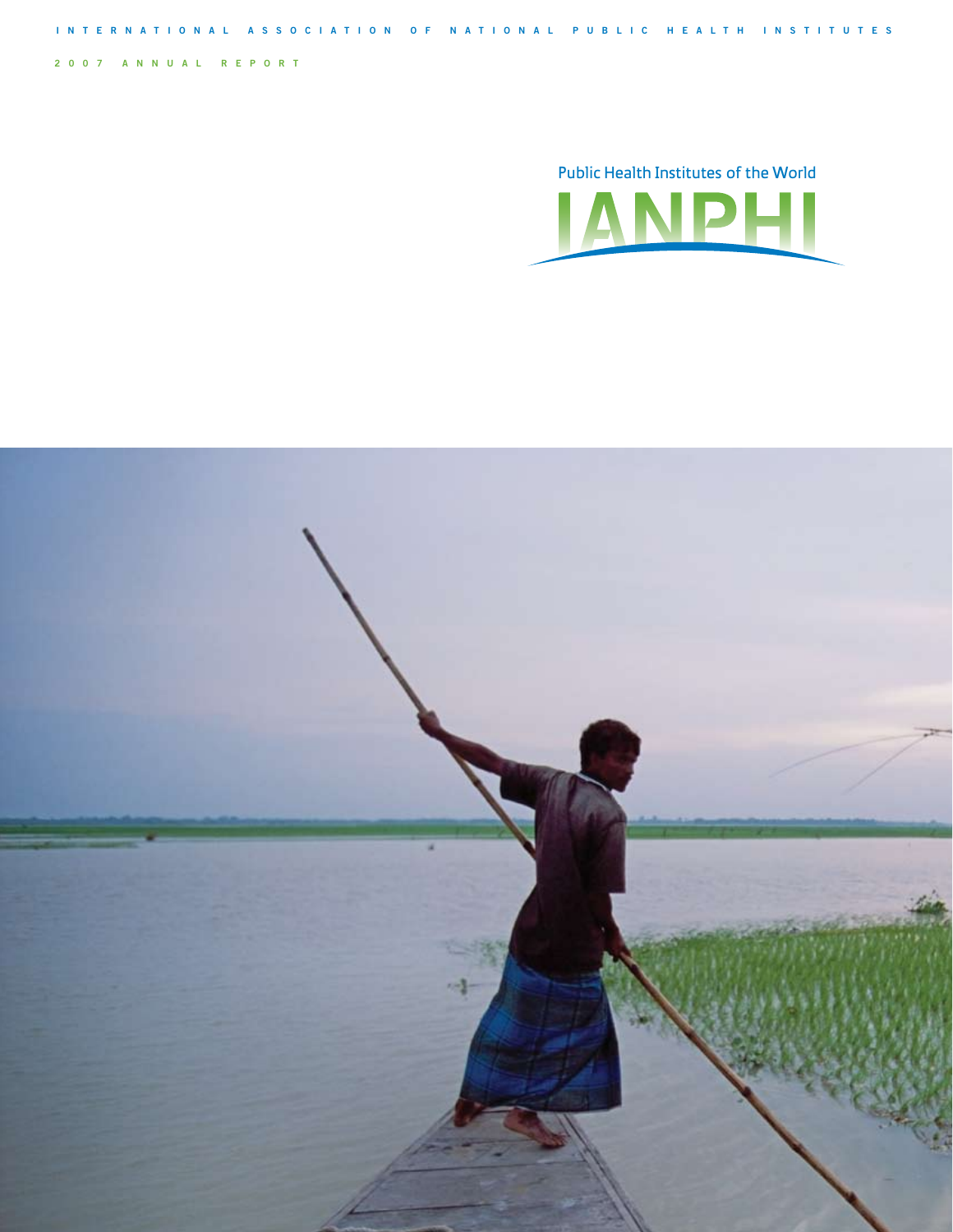**2007 annual re p ort**

Public Health Institutes of the World **JANPHI** 



**Internat i onal A ssoc i a t i on of N a t i onal Publ i c Healt h Inst i tutes**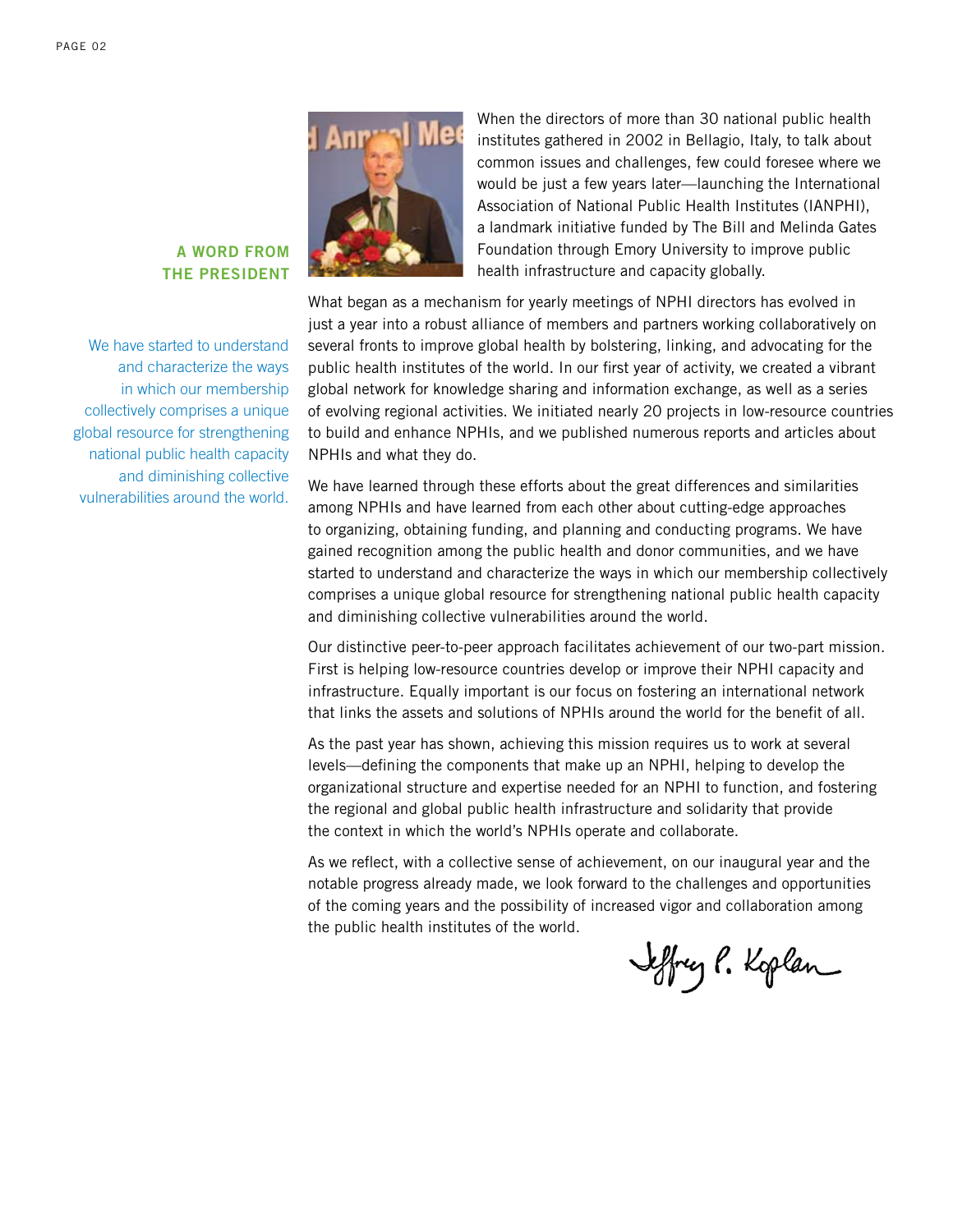

We have started to understand and characterize the ways in which our membership collectively comprises a unique global resource for strengthening national public health capacity and diminishing collective vulnerabilities around the world.



When the directors of more than 30 national public health institutes gathered in 2002 in Bellagio, Italy, to talk about common issues and challenges, few could foresee where we would be just a few years later—launching the International Association of National Public Health Institutes (IANPHI), a landmark initiative funded by The Bill and Melinda Gates Foundation through Emory University to improve public health infrastructure and capacity globally.

What began as a mechanism for yearly meetings of NPHI directors has evolved in just a year into a robust alliance of members and partners working collaboratively on several fronts to improve global health by bolstering, linking, and advocating for the public health institutes of the world. In our first year of activity, we created a vibrant global network for knowledge sharing and information exchange, as well as a series of evolving regional activities. We initiated nearly 20 projects in low-resource countries to build and enhance NPHIs, and we published numerous reports and articles about NPHIs and what they do.

We have learned through these efforts about the great differences and similarities among NPHIs and have learned from each other about cutting-edge approaches to organizing, obtaining funding, and planning and conducting programs. We have gained recognition among the public health and donor communities, and we have started to understand and characterize the ways in which our membership collectively comprises a unique global resource for strengthening national public health capacity and diminishing collective vulnerabilities around the world.

Our distinctive peer-to-peer approach facilitates achievement of our two-part mission. First is helping low-resource countries develop or improve their NPHI capacity and infrastructure. Equally important is our focus on fostering an international network that links the assets and solutions of NPHIs around the world for the benefit of all.

As the past year has shown, achieving this mission requires us to work at several levels—defining the components that make up an NPHI, helping to develop the organizational structure and expertise needed for an NPHI to function, and fostering the regional and global public health infrastructure and solidarity that provide the context in which the world's NPHIs operate and collaborate.

As we reflect, with a collective sense of achievement, on our inaugural year and the notable progress already made, we look forward to the challenges and opportunities of the coming years and the possibility of increased vigor and collaboration among the public health institutes of the world.

Jeffrey P. Koplan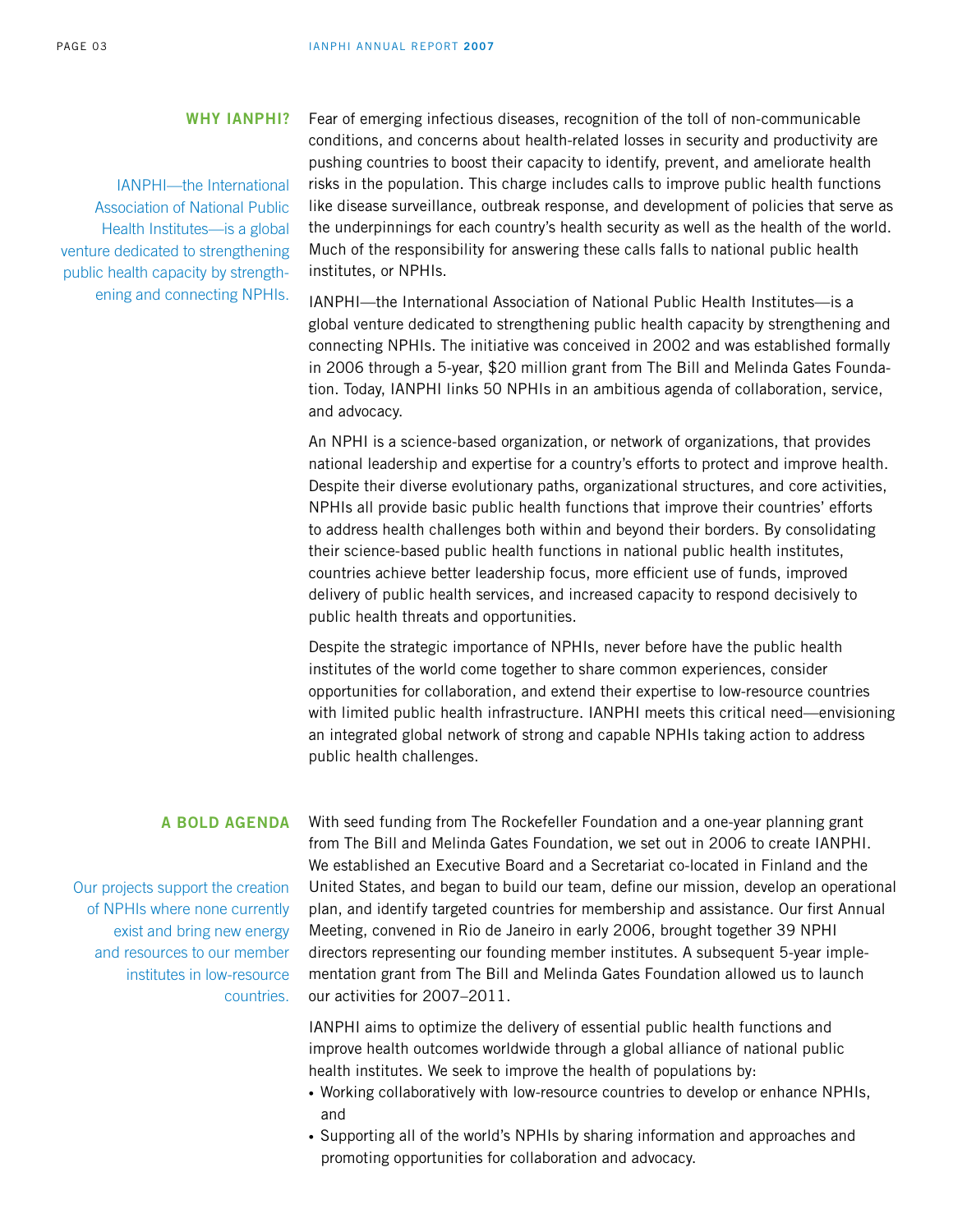## **Why IANPHI?**

IANPHI—the International Association of National Public Health Institutes—is a global venture dedicated to strengthening public health capacity by strengthening and connecting NPHIs.

Fear of emerging infectious diseases, recognition of the toll of non-communicable conditions, and concerns about health-related losses in security and productivity are pushing countries to boost their capacity to identify, prevent, and ameliorate health risks in the population. This charge includes calls to improve public health functions like disease surveillance, outbreak response, and development of policies that serve as the underpinnings for each country's health security as well as the health of the world. Much of the responsibility for answering these calls falls to national public health institutes, or NPHIs.

IANPHI—the International Association of National Public Health Institutes—is a global venture dedicated to strengthening public health capacity by strengthening and connecting NPHIs. The initiative was conceived in 2002 and was established formally in 2006 through a 5-year, \$20 million grant from The Bill and Melinda Gates Foundation. Today, IANPHI links 50 NPHIs in an ambitious agenda of collaboration, service, and advocacy.

An NPHI is a science-based organization, or network of organizations, that provides national leadership and expertise for a country's efforts to protect and improve health. Despite their diverse evolutionary paths, organizational structures, and core activities, NPHIs all provide basic public health functions that improve their countries' efforts to address health challenges both within and beyond their borders. By consolidating their science-based public health functions in national public health institutes, countries achieve better leadership focus, more efficient use of funds, improved delivery of public health services, and increased capacity to respond decisively to public health threats and opportunities.

Despite the strategic importance of NPHIs, never before have the public health institutes of the world come together to share common experiences, consider opportunities for collaboration, and extend their expertise to low-resource countries with limited public health infrastructure. IANPHI meets this critical need—envisioning an integrated global network of strong and capable NPHIs taking action to address public health challenges.

# **A bold agenda**

Our projects support the creation of NPHIs where none currently exist and bring new energy and resources to our member institutes in low-resource countries.

With seed funding from The Rockefeller Foundation and a one-year planning grant from The Bill and Melinda Gates Foundation, we set out in 2006 to create IANPHI. We established an Executive Board and a Secretariat co-located in Finland and the United States, and began to build our team, define our mission, develop an operational plan, and identify targeted countries for membership and assistance. Our first Annual Meeting, convened in Rio de Janeiro in early 2006, brought together 39 NPHI directors representing our founding member institutes. A subsequent 5-year implementation grant from The Bill and Melinda Gates Foundation allowed us to launch our activities for 2007–2011.

IANPHI aims to optimize the delivery of essential public health functions and improve health outcomes worldwide through a global alliance of national public health institutes. We seek to improve the health of populations by:

- Working collaboratively with low-resource countries to develop or enhance NPHIs, and
- Supporting all of the world's NPHIs by sharing information and approaches and promoting opportunities for collaboration and advocacy.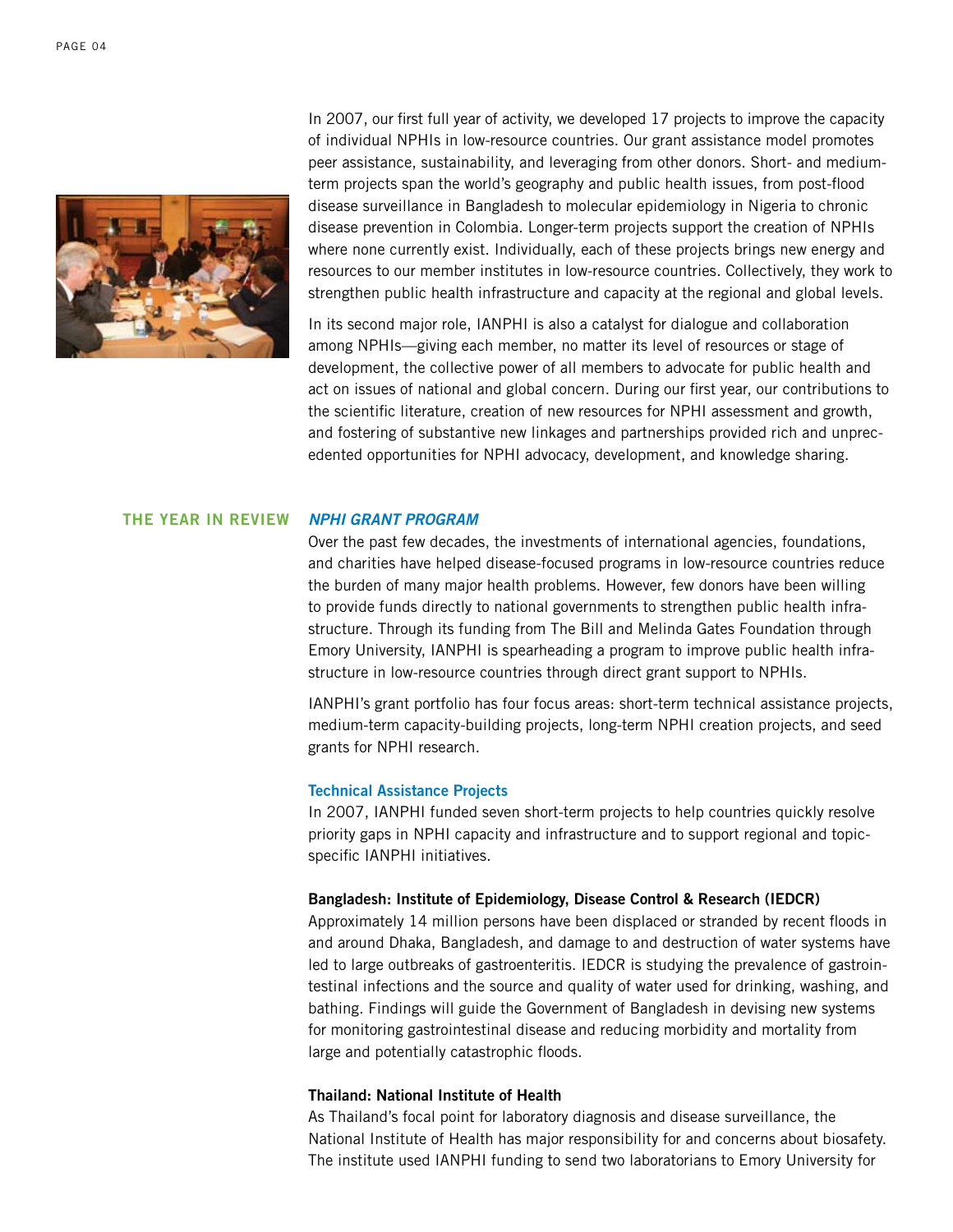

In 2007, our first full year of activity, we developed 17 projects to improve the capacity of individual NPHIs in low-resource countries. Our grant assistance model promotes peer assistance, sustainability, and leveraging from other donors. Short- and mediumterm projects span the world's geography and public health issues, from post-flood disease surveillance in Bangladesh to molecular epidemiology in Nigeria to chronic disease prevention in Colombia. Longer-term projects support the creation of NPHIs where none currently exist. Individually, each of these projects brings new energy and resources to our member institutes in low-resource countries. Collectively, they work to strengthen public health infrastructure and capacity at the regional and global levels.

In its second major role, IANPHI is also a catalyst for dialogue and collaboration among NPHIs—giving each member, no matter its level of resources or stage of development, the collective power of all members to advocate for public health and act on issues of national and global concern. During our first year, our contributions to the scientific literature, creation of new resources for NPHI assessment and growth, and fostering of substantive new linkages and partnerships provided rich and unprecedented opportunities for NPHI advocacy, development, and knowledge sharing.

#### *NPHI Grant Program* **The year in review**

Over the past few decades, the investments of international agencies, foundations, and charities have helped disease-focused programs in low-resource countries reduce the burden of many major health problems. However, few donors have been willing to provide funds directly to national governments to strengthen public health infrastructure. Through its funding from The Bill and Melinda Gates Foundation through Emory University, IANPHI is spearheading a program to improve public health infrastructure in low-resource countries through direct grant support to NPHIs.

IANPHI's grant portfolio has four focus areas: short-term technical assistance projects, medium-term capacity-building projects, long-term NPHI creation projects, and seed grants for NPHI research.

### **Technical Assistance Projects**

In 2007, IANPHI funded seven short-term projects to help countries quickly resolve priority gaps in NPHI capacity and infrastructure and to support regional and topicspecific IANPHI initiatives.

#### **Bangladesh: Institute of Epidemiology, Disease Control & Research (IEDCR)**

Approximately 14 million persons have been displaced or stranded by recent floods in and around Dhaka, Bangladesh, and damage to and destruction of water systems have led to large outbreaks of gastroenteritis. IEDCR is studying the prevalence of gastrointestinal infections and the source and quality of water used for drinking, washing, and bathing. Findings will guide the Government of Bangladesh in devising new systems for monitoring gastrointestinal disease and reducing morbidity and mortality from large and potentially catastrophic floods.

#### **Thailand: National Institute of Health**

As Thailand's focal point for laboratory diagnosis and disease surveillance, the National Institute of Health has major responsibility for and concerns about biosafety. The institute used IANPHI funding to send two laboratorians to Emory University for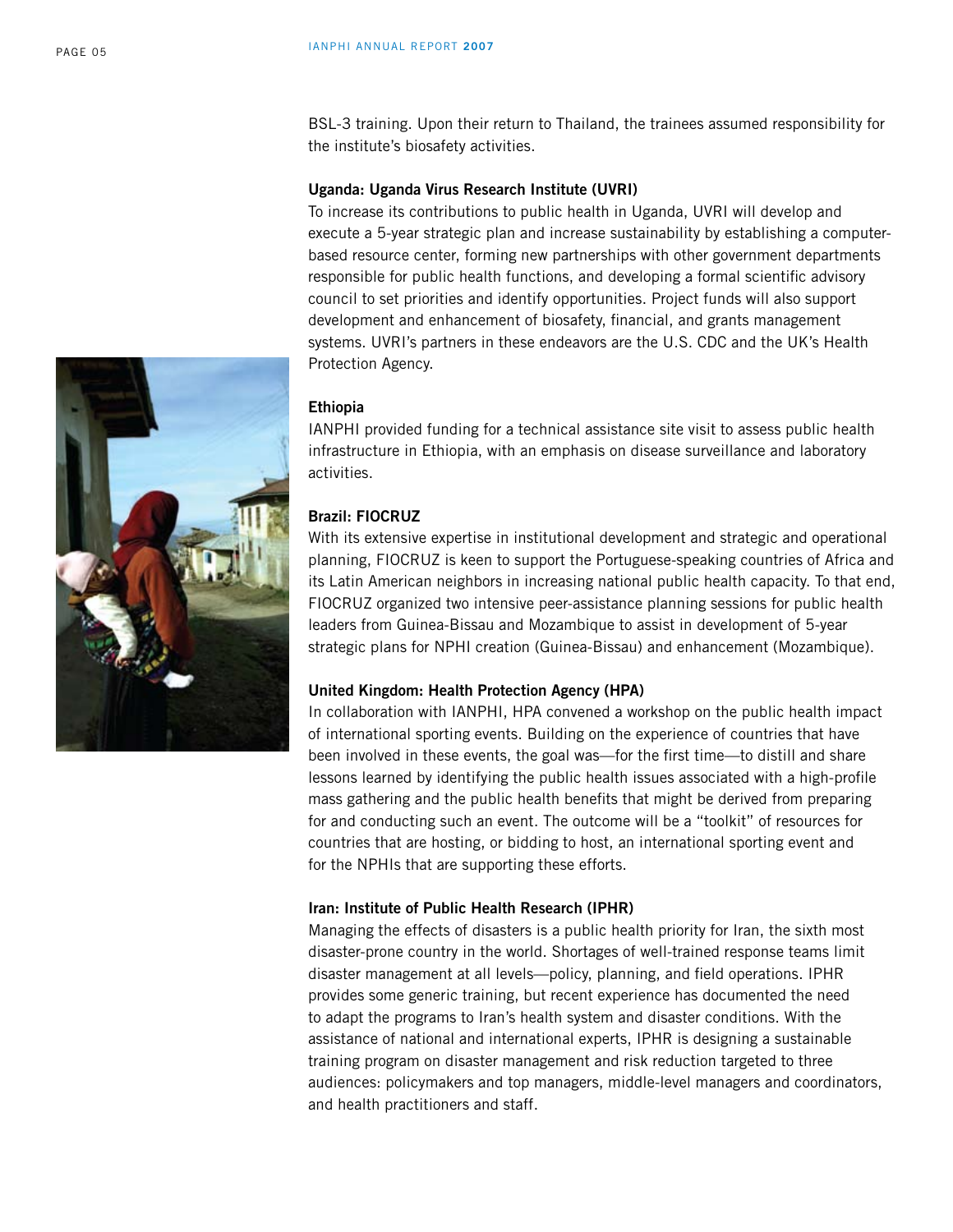BSL-3 training. Upon their return to Thailand, the trainees assumed responsibility for the institute's biosafety activities.

## **Uganda: Uganda Virus Research Institute (UVRI)**

To increase its contributions to public health in Uganda, UVRI will develop and execute a 5-year strategic plan and increase sustainability by establishing a computerbased resource center, forming new partnerships with other government departments responsible for public health functions, and developing a formal scientific advisory council to set priorities and identify opportunities. Project funds will also support development and enhancement of biosafety, financial, and grants management systems. UVRI's partners in these endeavors are the U.S. CDC and the UK's Health Protection Agency.

#### **Ethiopia**

IANPHI provided funding for a technical assistance site visit to assess public health infrastructure in Ethiopia, with an emphasis on disease surveillance and laboratory activities.

# **Brazil: FIOCRUZ**

With its extensive expertise in institutional development and strategic and operational planning, FIOCRUZ is keen to support the Portuguese-speaking countries of Africa and its Latin American neighbors in increasing national public health capacity. To that end, FIOCRUZ organized two intensive peer-assistance planning sessions for public health leaders from Guinea-Bissau and Mozambique to assist in development of 5-year strategic plans for NPHI creation (Guinea-Bissau) and enhancement (Mozambique).

#### **United Kingdom: Health Protection Agency (HPA)**

In collaboration with IANPHI, HPA convened a workshop on the public health impact of international sporting events. Building on the experience of countries that have been involved in these events, the goal was—for the first time—to distill and share lessons learned by identifying the public health issues associated with a high-profile mass gathering and the public health benefits that might be derived from preparing for and conducting such an event. The outcome will be a "toolkit" of resources for countries that are hosting, or bidding to host, an international sporting event and for the NPHIs that are supporting these efforts.

#### **Iran: Institute of Public Health Research (IPHR)**

Managing the effects of disasters is a public health priority for Iran, the sixth most disaster-prone country in the world. Shortages of well-trained response teams limit disaster management at all levels—policy, planning, and field operations. IPHR provides some generic training, but recent experience has documented the need to adapt the programs to Iran's health system and disaster conditions. With the assistance of national and international experts, IPHR is designing a sustainable training program on disaster management and risk reduction targeted to three audiences: policymakers and top managers, middle-level managers and coordinators, and health practitioners and staff.

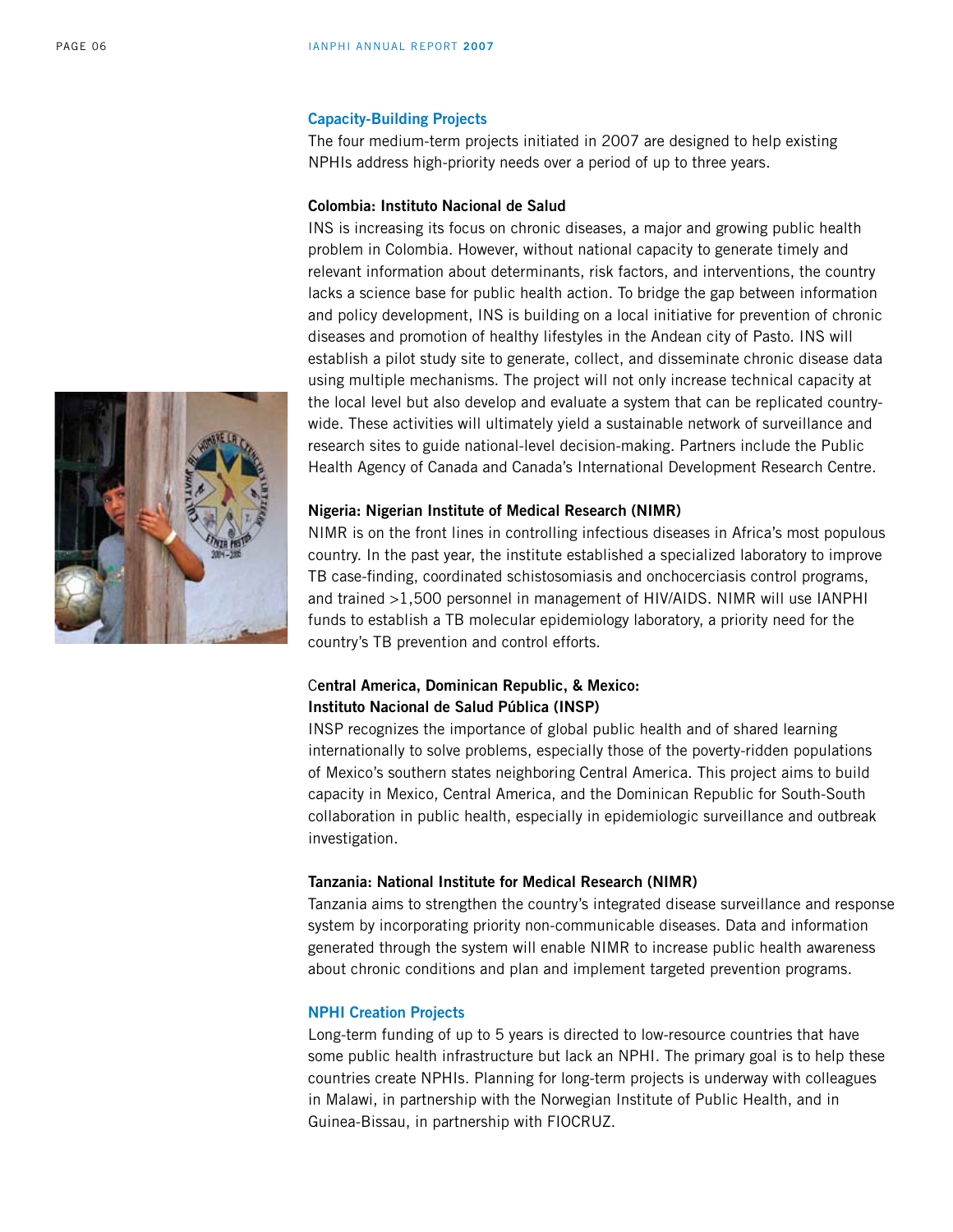## **Capacity-Building Projects**

The four medium-term projects initiated in 2007 are designed to help existing NPHIs address high-priority needs over a period of up to three years.

## **Colombia: Instituto Nacional de Salud**

INS is increasing its focus on chronic diseases, a major and growing public health problem in Colombia. However, without national capacity to generate timely and relevant information about determinants, risk factors, and interventions, the country lacks a science base for public health action. To bridge the gap between information and policy development, INS is building on a local initiative for prevention of chronic diseases and promotion of healthy lifestyles in the Andean city of Pasto. INS will establish a pilot study site to generate, collect, and disseminate chronic disease data using multiple mechanisms. The project will not only increase technical capacity at the local level but also develop and evaluate a system that can be replicated countrywide. These activities will ultimately yield a sustainable network of surveillance and research sites to guide national-level decision-making. Partners include the Public Health Agency of Canada and Canada's International Development Research Centre.

#### **Nigeria: Nigerian Institute of Medical Research (NIMR)**

NIMR is on the front lines in controlling infectious diseases in Africa's most populous country. In the past year, the institute established a specialized laboratory to improve TB case-finding, coordinated schistosomiasis and onchocerciasis control programs, and trained >1,500 personnel in management of HIV/AIDS. NIMR will use IANPHI funds to establish a TB molecular epidemiology laboratory, a priority need for the country's TB prevention and control efforts.

# C**entral America, Dominican Republic, & Mexico: Instituto Nacional de Salud Pública (INSP)**

INSP recognizes the importance of global public health and of shared learning internationally to solve problems, especially those of the poverty-ridden populations of Mexico's southern states neighboring Central America. This project aims to build capacity in Mexico, Central America, and the Dominican Republic for South-South collaboration in public health, especially in epidemiologic surveillance and outbreak investigation.

#### **Tanzania: National Institute for Medical Research (NIMR)**

Tanzania aims to strengthen the country's integrated disease surveillance and response system by incorporating priority non-communicable diseases. Data and information generated through the system will enable NIMR to increase public health awareness about chronic conditions and plan and implement targeted prevention programs.

#### **NPHI Creation Projects**

Long-term funding of up to 5 years is directed to low-resource countries that have some public health infrastructure but lack an NPHI. The primary goal is to help these countries create NPHIs. Planning for long-term projects is underway with colleagues in Malawi, in partnership with the Norwegian Institute of Public Health, and in Guinea-Bissau, in partnership with FIOCRUZ.

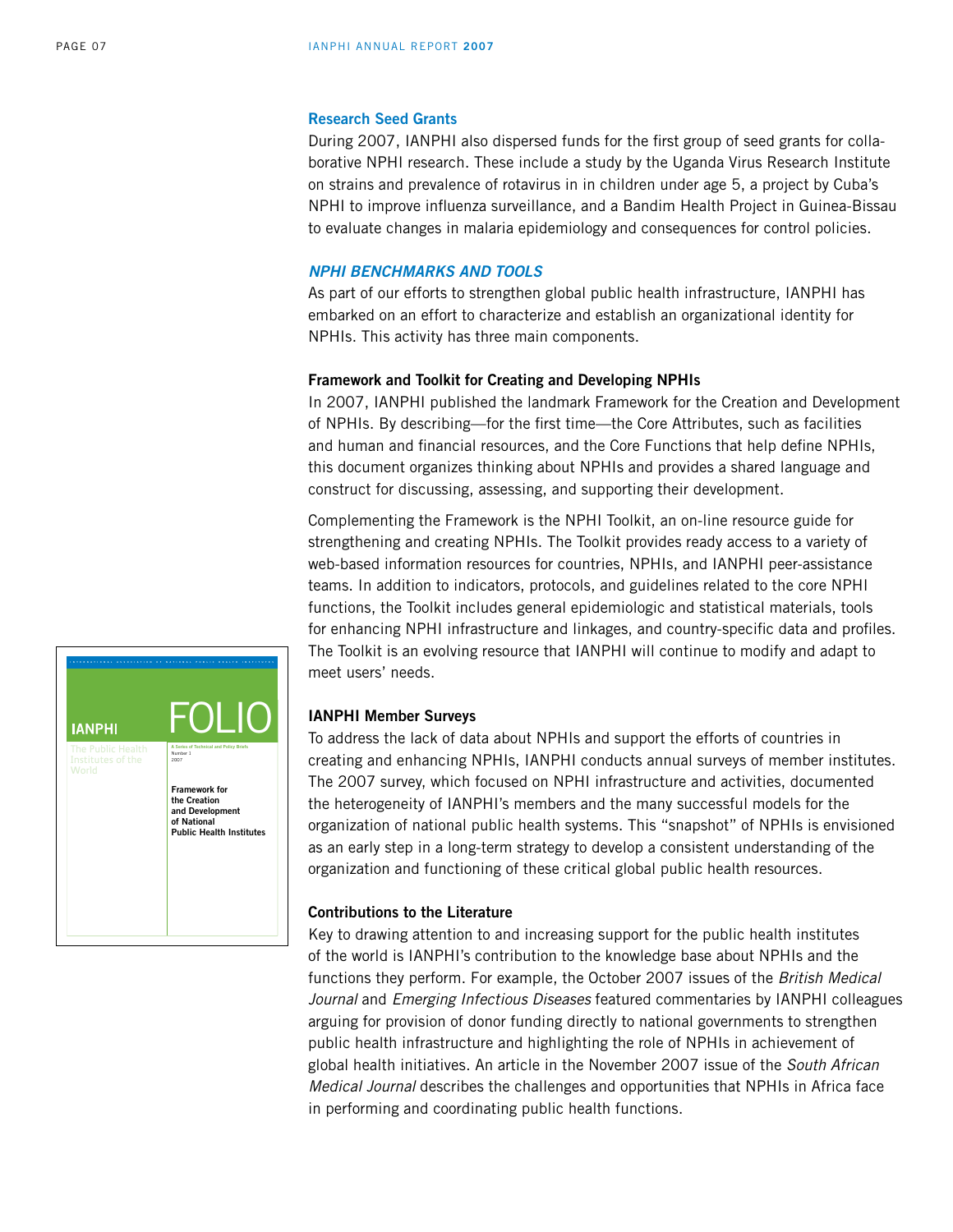#### **Research Seed Grants**

During 2007, IANPHI also dispersed funds for the first group of seed grants for collaborative NPHI research. These include a study by the Uganda Virus Research Institute on strains and prevalence of rotavirus in in children under age 5, a project by Cuba's NPHI to improve influenza surveillance, and a Bandim Health Project in Guinea-Bissau to evaluate changes in malaria epidemiology and consequences for control policies.

#### *NPHI Benchmarks and Tools*

As part of our efforts to strengthen global public health infrastructure, IANPHI has embarked on an effort to characterize and establish an organizational identity for NPHIs. This activity has three main components.

## **Framework and Toolkit for Creating and Developing NPHIs**

In 2007, IANPHI published the landmark Framework for the Creation and Development of NPHIs. By describing—for the first time—the Core Attributes, such as facilities and human and financial resources, and the Core Functions that help define NPHIs, this document organizes thinking about NPHIs and provides a shared language and construct for discussing, assessing, and supporting their development.

Complementing the Framework is the NPHI Toolkit, an on-line resource guide for strengthening and creating NPHIs. The Toolkit provides ready access to a variety of web-based information resources for countries, NPHIs, and IANPHI peer-assistance teams. In addition to indicators, protocols, and guidelines related to the core NPHI functions, the Toolkit includes general epidemiologic and statistical materials, tools for enhancing NPHI infrastructure and linkages, and country-specific data and profiles. The Toolkit is an evolving resource that IANPHI will continue to modify and adapt to meet users' needs.

## **IANPHI Member Surveys**

To address the lack of data about NPHIs and support the efforts of countries in creating and enhancing NPHIs, IANPHI conducts annual surveys of member institutes. The 2007 survey, which focused on NPHI infrastructure and activities, documented the heterogeneity of IANPHI's members and the many successful models for the organization of national public health systems. This "snapshot" of NPHIs is envisioned as an early step in a long-term strategy to develop a consistent understanding of the organization and functioning of these critical global public health resources.

## **Contributions to the Literature**

Key to drawing attention to and increasing support for the public health institutes of the world is IANPHI's contribution to the knowledge base about NPHIs and the functions they perform. For example, the October 2007 issues of the *British Medical Journal* and *Emerging Infectious Diseases* featured commentaries by IANPHI colleagues arguing for provision of donor funding directly to national governments to strengthen public health infrastructure and highlighting the role of NPHIs in achievement of global health initiatives. An article in the November 2007 issue of the *South African Medical Journal* describes the challenges and opportunities that NPHIs in Africa face in performing and coordinating public health functions.

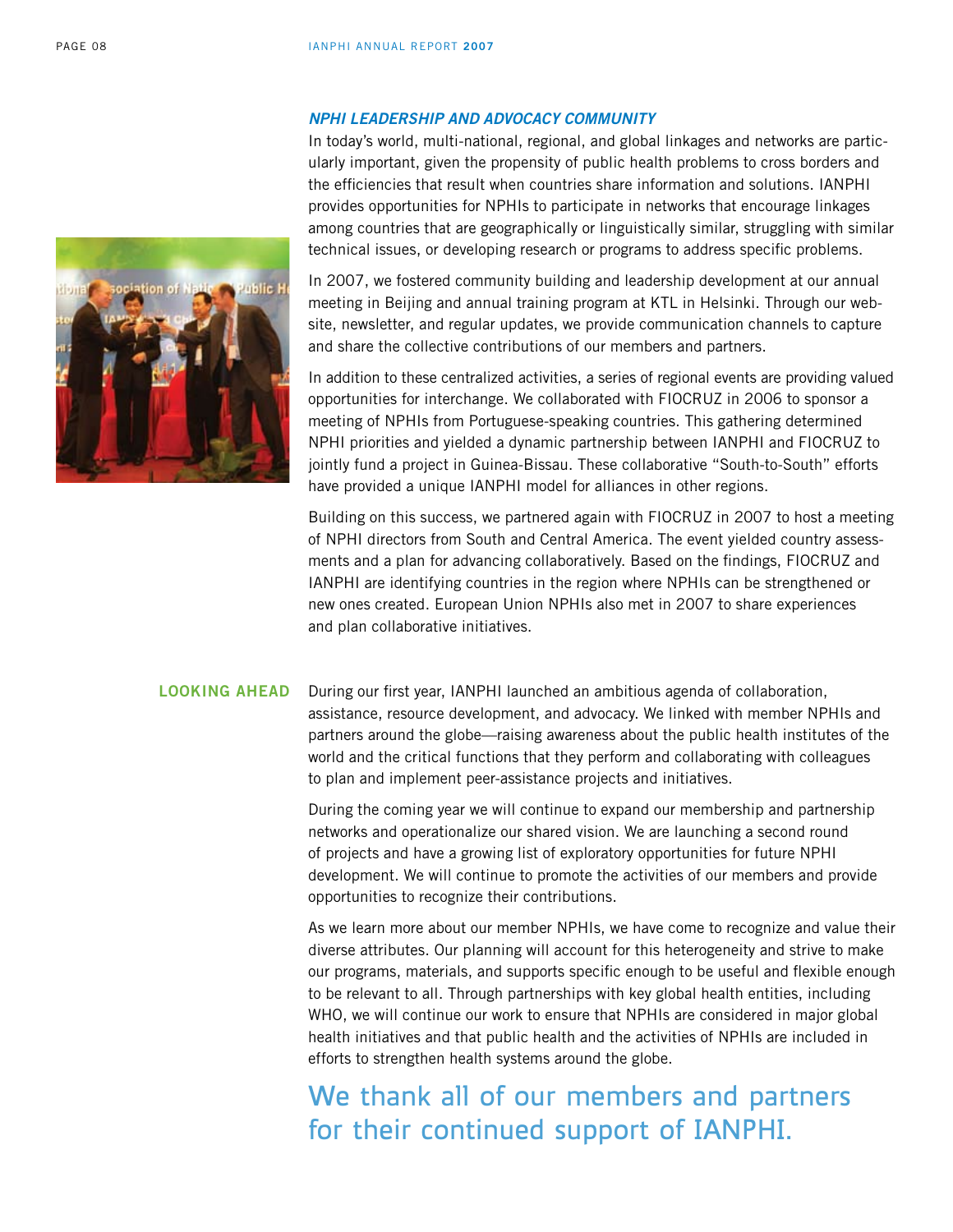## *NPHI Leadership and Advocacy Community*

In today's world, multi-national, regional, and global linkages and networks are particularly important, given the propensity of public health problems to cross borders and the efficiencies that result when countries share information and solutions. IANPHI provides opportunities for NPHIs to participate in networks that encourage linkages among countries that are geographically or linguistically similar, struggling with similar technical issues, or developing research or programs to address specific problems.

In 2007, we fostered community building and leadership development at our annual meeting in Beijing and annual training program at KTL in Helsinki. Through our website, newsletter, and regular updates, we provide communication channels to capture and share the collective contributions of our members and partners.

In addition to these centralized activities, a series of regional events are providing valued opportunities for interchange. We collaborated with FIOCRUZ in 2006 to sponsor a meeting of NPHIs from Portuguese-speaking countries. This gathering determined NPHI priorities and yielded a dynamic partnership between IANPHI and FIOCRUZ to jointly fund a project in Guinea-Bissau. These collaborative "South-to-South" efforts have provided a unique IANPHI model for alliances in other regions.

Building on this success, we partnered again with FIOCRUZ in 2007 to host a meeting of NPHI directors from South and Central America. The event yielded country assessments and a plan for advancing collaboratively. Based on the findings, FIOCRUZ and IANPHI are identifying countries in the region where NPHIs can be strengthened or new ones created. European Union NPHIs also met in 2007 to share experiences and plan collaborative initiatives.

## **Looking ahead**

During our first year, IANPHI launched an ambitious agenda of collaboration, assistance, resource development, and advocacy. We linked with member NPHIs and partners around the globe—raising awareness about the public health institutes of the world and the critical functions that they perform and collaborating with colleagues to plan and implement peer-assistance projects and initiatives.

During the coming year we will continue to expand our membership and partnership networks and operationalize our shared vision. We are launching a second round of projects and have a growing list of exploratory opportunities for future NPHI development. We will continue to promote the activities of our members and provide opportunities to recognize their contributions.

As we learn more about our member NPHIs, we have come to recognize and value their diverse attributes. Our planning will account for this heterogeneity and strive to make our programs, materials, and supports specific enough to be useful and flexible enough to be relevant to all. Through partnerships with key global health entities, including WHO, we will continue our work to ensure that NPHIs are considered in major global health initiatives and that public health and the activities of NPHIs are included in efforts to strengthen health systems around the globe.

We thank all of our members and partners for their continued support of IANPHI.

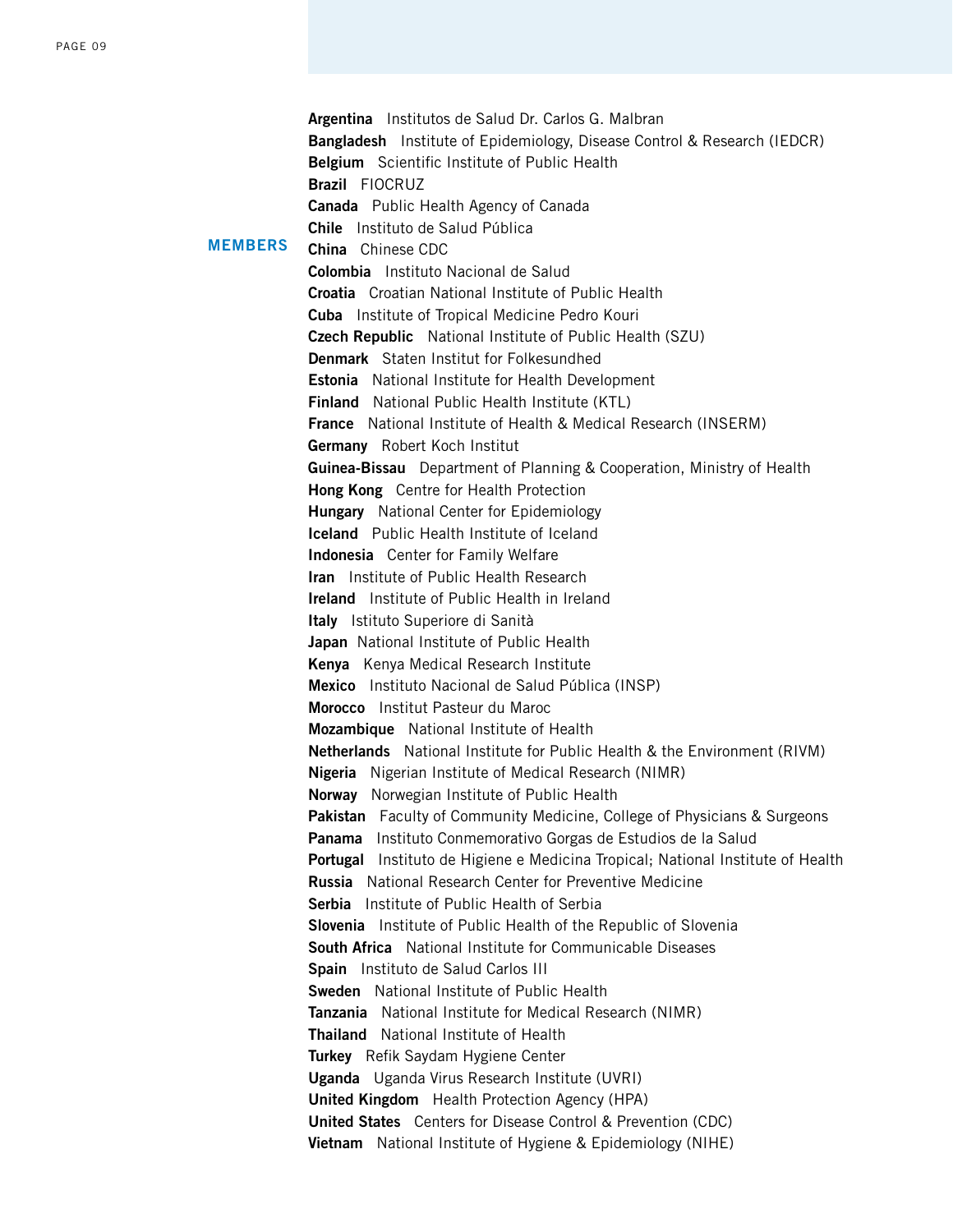|                | Argentina Institutos de Salud Dr. Carlos G. Malbran                                                                  |
|----------------|----------------------------------------------------------------------------------------------------------------------|
|                | <b>Bangladesh</b> Institute of Epidemiology, Disease Control & Research (IEDCR)                                      |
|                | <b>Belgium</b> Scientific Institute of Public Health                                                                 |
|                | <b>Brazil FIOCRUZ</b>                                                                                                |
| <b>MEMBERS</b> | <b>Canada</b> Public Health Agency of Canada                                                                         |
|                | Chile Instituto de Salud Pública                                                                                     |
|                | <b>China</b> Chinese CDC                                                                                             |
|                | Colombia Instituto Nacional de Salud                                                                                 |
|                | <b>Croatia</b> Croatian National Institute of Public Health                                                          |
|                | Cuba Institute of Tropical Medicine Pedro Kouri                                                                      |
|                | <b>Czech Republic</b> National Institute of Public Health (SZU)                                                      |
|                | <b>Denmark</b> Staten Institut for Folkesundhed                                                                      |
|                | <b>Estonia</b> National Institute for Health Development                                                             |
|                | <b>Finland</b> National Public Health Institute (KTL)                                                                |
|                | France National Institute of Health & Medical Research (INSERM)                                                      |
|                | Germany Robert Koch Institut                                                                                         |
|                | <b>Guinea-Bissau</b> Department of Planning & Cooperation, Ministry of Health                                        |
|                | Hong Kong Centre for Health Protection                                                                               |
|                | <b>Hungary</b> National Center for Epidemiology                                                                      |
|                | <b>Iceland</b> Public Health Institute of Iceland                                                                    |
|                | <b>Indonesia</b> Center for Family Welfare                                                                           |
|                | <b>Iran</b> Institute of Public Health Research                                                                      |
|                | <b>Ireland</b> Institute of Public Health in Ireland                                                                 |
|                | Italy Istituto Superiore di Sanità                                                                                   |
|                | Japan National Institute of Public Health                                                                            |
|                | Kenya Kenya Medical Research Institute                                                                               |
|                | Mexico Instituto Nacional de Salud Pública (INSP)                                                                    |
|                | Morocco Institut Pasteur du Maroc                                                                                    |
|                | Mozambique National Institute of Health                                                                              |
|                | Netherlands National Institute for Public Health & the Environment (RIVM)                                            |
|                | <b>Nigeria</b> Nigerian Institute of Medical Research (NIMR)                                                         |
|                | Norway Norwegian Institute of Public Health                                                                          |
|                | <b>Pakistan</b> Faculty of Community Medicine, College of Physicians & Surgeons                                      |
|                | Panama<br>Instituto Conmemorativo Gorgas de Estudios de la Salud                                                     |
|                | <b>Portugal</b> Instituto de Higiene e Medicina Tropical; National Institute of Health                               |
|                | <b>Russia</b> National Research Center for Preventive Medicine                                                       |
|                | Serbia Institute of Public Health of Serbia                                                                          |
|                | Slovenia Institute of Public Health of the Republic of Slovenia                                                      |
|                | South Africa National Institute for Communicable Diseases<br>Spain Instituto de Salud Carlos III                     |
|                |                                                                                                                      |
|                | <b>Sweden</b> National Institute of Public Health                                                                    |
|                | Tanzania National Institute for Medical Research (NIMR)<br>Thailand National Institute of Health                     |
|                |                                                                                                                      |
|                | Turkey Refik Saydam Hygiene Center                                                                                   |
|                | <b>Uganda</b> Uganda Virus Research Institute (UVRI)                                                                 |
|                | United Kingdom Health Protection Agency (HPA)<br><b>United States</b> Centers for Disease Control & Prevention (CDC) |
|                |                                                                                                                      |
|                | Vietnam National Institute of Hygiene & Epidemiology (NIHE)                                                          |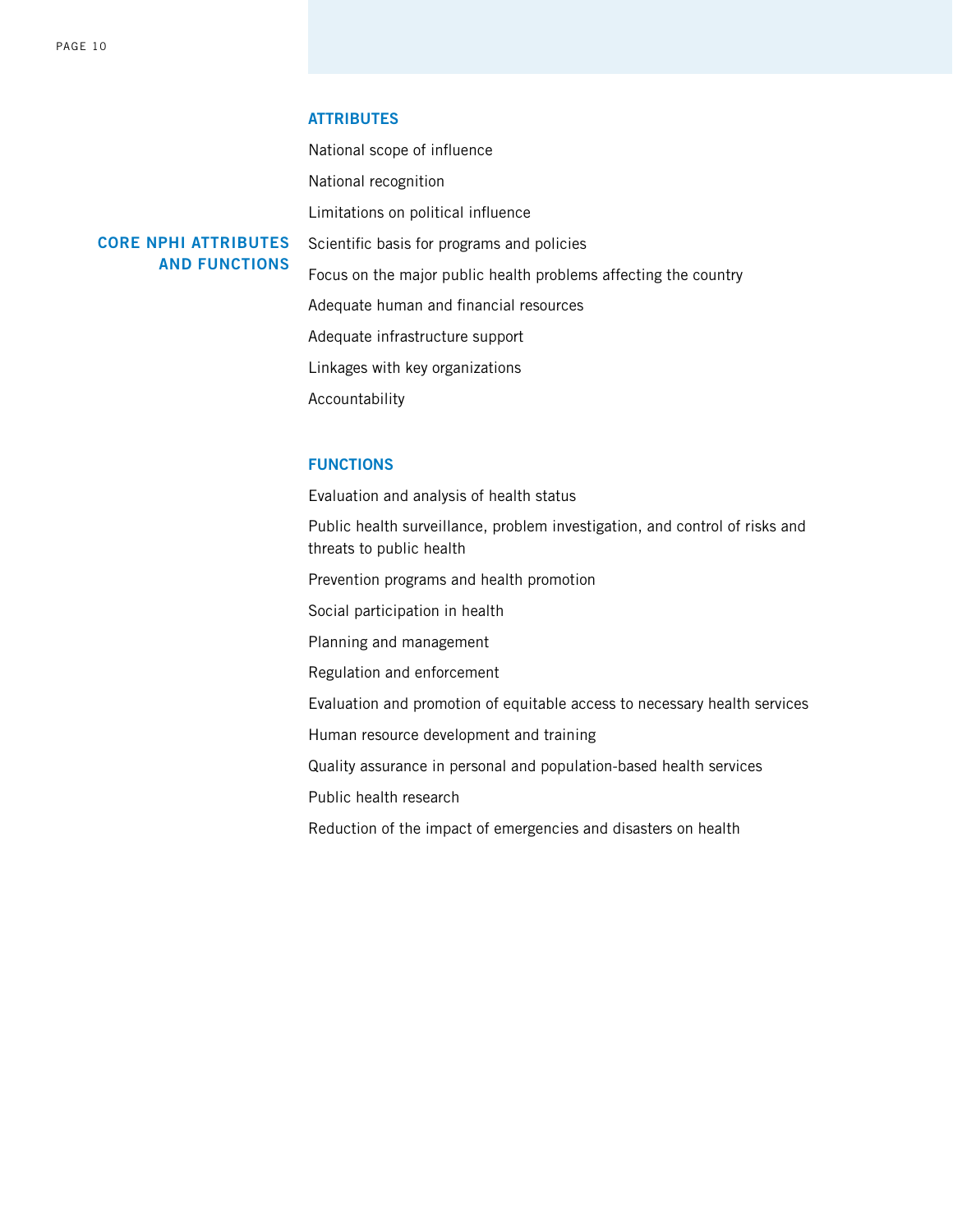**Core NPHI Attributes** 

**and Functions**

#### **Attributes**

National scope of influence National recognition Limitations on political influence Scientific basis for programs and policies Focus on the major public health problems affecting the country Adequate human and financial resources Adequate infrastructure support Linkages with key organizations Accountability

## **Functions**

Evaluation and analysis of health status

Public health surveillance, problem investigation, and control of risks and threats to public health

Prevention programs and health promotion

Social participation in health

Planning and management

Regulation and enforcement

Evaluation and promotion of equitable access to necessary health services

Human resource development and training

Quality assurance in personal and population-based health services

Public health research

Reduction of the impact of emergencies and disasters on health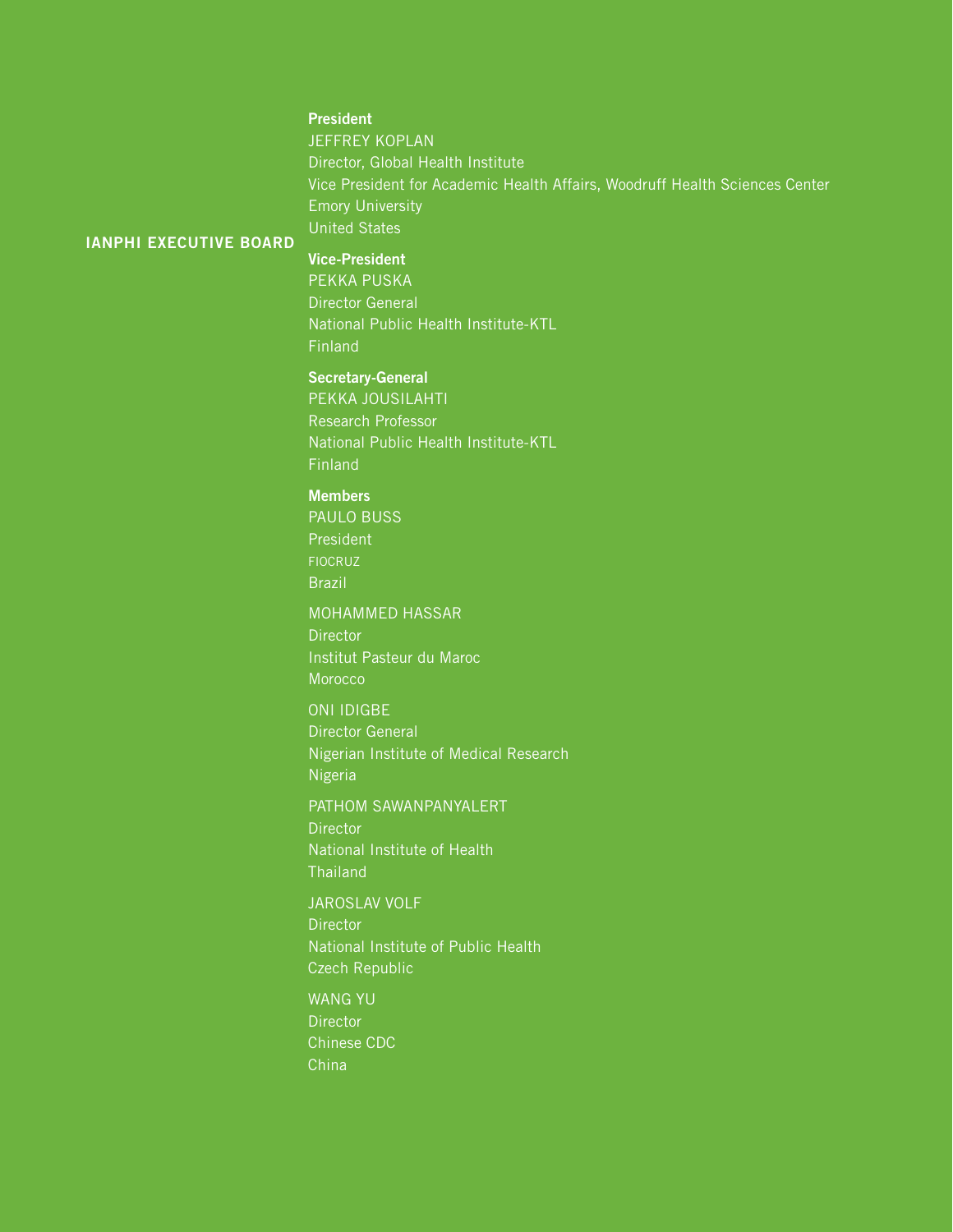# **President**

**JEFFREY KOPLAN** Director, Global Health Institute Vice President for Academic Health Affairs, Woodruff Health Sciences Center Emory University United States

#### **iANPHI Executive Board**

## **Vice-President**

Pekka Puska Director General National Public Health Institute-KTL Finland

# **Secretary-General**

Pekka Jousilahti Research Professor National Public Health Institute-KTL Finland

## **Members**

Paulo Buss President **FIOCRUZ** Brazil

# MOHAMMED HASSAR

**Director** Institut Pasteur du Maroc **Morocco** 

## ONI IDIGBE

Director General Nigerian Institute of Medical Research Nigeria

## Pathom Sawanpanyalert

**Director** National Institute of Health **Thailand** 

## Jaroslav Volf

**Director** National Institute of Public Health Czech Republic

# Wang Yu

**Director** Chinese CDC China